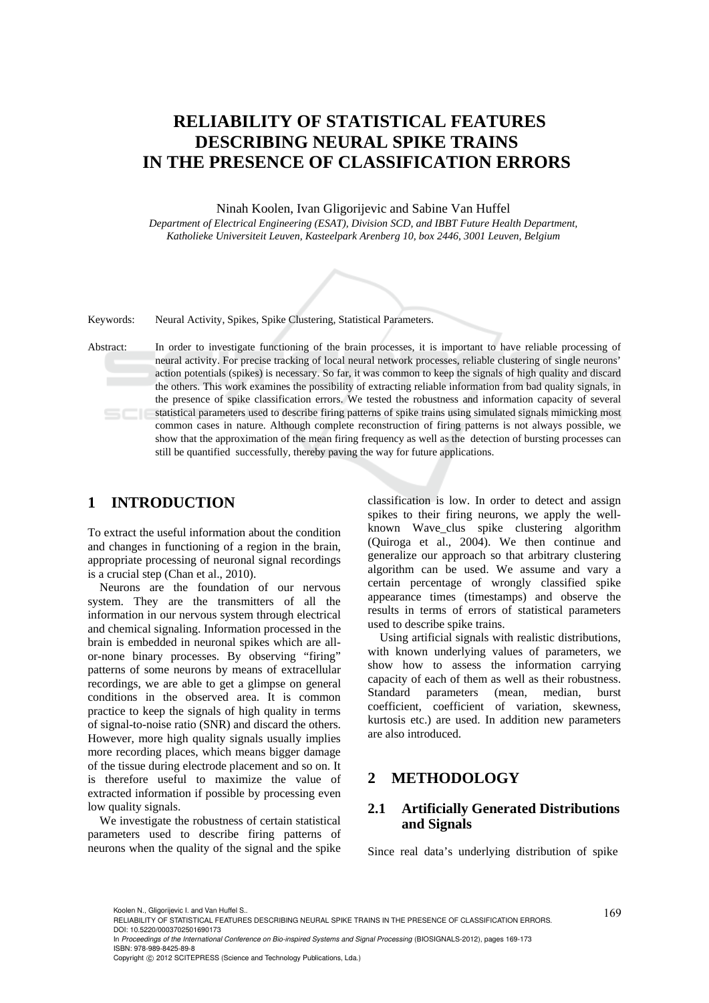# **RELIABILITY OF STATISTICAL FEATURES DESCRIBING NEURAL SPIKE TRAINS IN THE PRESENCE OF CLASSIFICATION ERRORS**

Ninah Koolen, Ivan Gligorijevic and Sabine Van Huffel *Department of Electrical Engineering (ESAT), Division SCD, and IBBT Future Health Department, Katholieke Universiteit Leuven, Kasteelpark Arenberg 10, box 2446, 3001 Leuven, Belgium*



Keywords: Neural Activity, Spikes, Spike Clustering, Statistical Parameters.

Abstract: In order to investigate functioning of the brain processes, it is important to have reliable processing of neural activity. For precise tracking of local neural network processes, reliable clustering of single neurons' action potentials (spikes) is necessary. So far, it was common to keep the signals of high quality and discard the others. This work examines the possibility of extracting reliable information from bad quality signals, in the presence of spike classification errors. We tested the robustness and information capacity of several statistical parameters used to describe firing patterns of spike trains using simulated signals mimicking most common cases in nature. Although complete reconstruction of firing patterns is not always possible, we show that the approximation of the mean firing frequency as well as the detection of bursting processes can still be quantified successfully, thereby paving the way for future applications.

## **1 INTRODUCTION**

To extract the useful information about the condition and changes in functioning of a region in the brain, appropriate processing of neuronal signal recordings is a crucial step (Chan et al., 2010).

Neurons are the foundation of our nervous system. They are the transmitters of all the information in our nervous system through electrical and chemical signaling. Information processed in the brain is embedded in neuronal spikes which are allor-none binary processes. By observing "firing" patterns of some neurons by means of extracellular recordings, we are able to get a glimpse on general conditions in the observed area. It is common practice to keep the signals of high quality in terms of signal-to-noise ratio (SNR) and discard the others. However, more high quality signals usually implies more recording places, which means bigger damage of the tissue during electrode placement and so on. It is therefore useful to maximize the value of extracted information if possible by processing even low quality signals.

We investigate the robustness of certain statistical parameters used to describe firing patterns of neurons when the quality of the signal and the spike classification is low. In order to detect and assign spikes to their firing neurons, we apply the wellknown Wave\_clus spike clustering algorithm (Quiroga et al., 2004). We then continue and generalize our approach so that arbitrary clustering algorithm can be used. We assume and vary a certain percentage of wrongly classified spike appearance times (timestamps) and observe the results in terms of errors of statistical parameters used to describe spike trains.

Using artificial signals with realistic distributions, with known underlying values of parameters, we show how to assess the information carrying capacity of each of them as well as their robustness. Standard parameters (mean, median, burst coefficient, coefficient of variation, skewness, kurtosis etc.) are used. In addition new parameters are also introduced.

## **2 METHODOLOGY**

### **2.1 Artificially Generated Distributions and Signals**

Since real data's underlying distribution of spike

Koolen N., Gligorijevic I. and Van Huffel S..<br>RELIABILITY OF STATISTICAL FEATURES DESCRIBING NEURAL SPIKE TRAINS IN THE PRESENCE OF CLASSIFICATION ERRORS. DOI: 10.5220/0003702501690173

In *Proceedings of the International Conference on Bio-inspired Systems and Signal Processing* (BIOSIGNALS-2012), pages 169-173 ISBN: 978-989-8425-89-8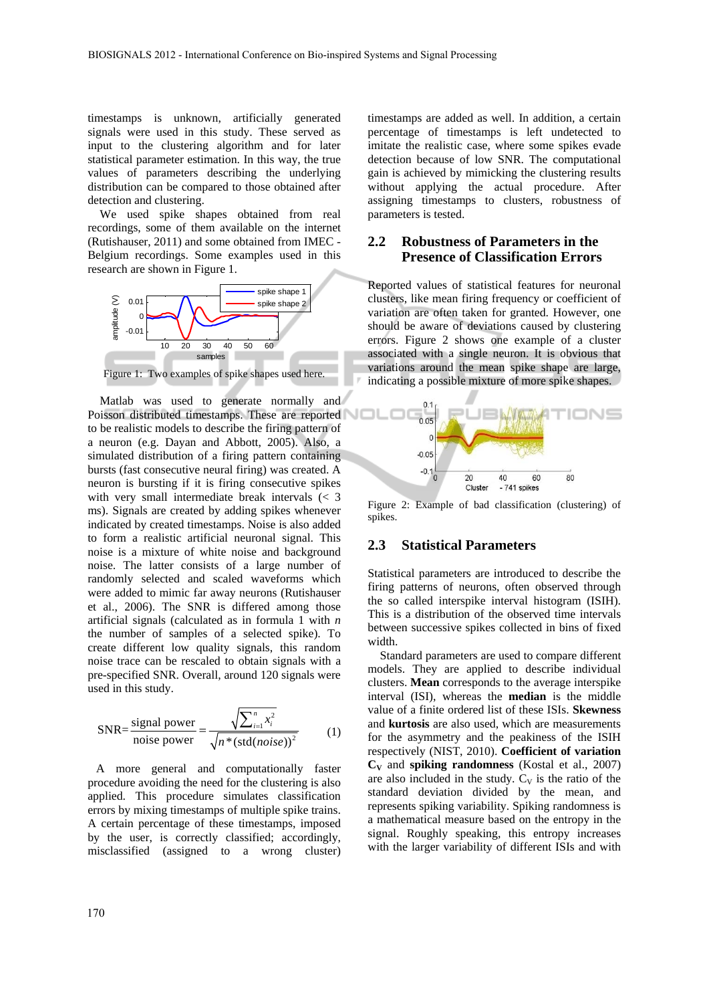timestamps is unknown, artificially generated signals were used in this study. These served as input to the clustering algorithm and for later statistical parameter estimation. In this way, the true values of parameters describing the underlying distribution can be compared to those obtained after detection and clustering.

We used spike shapes obtained from real recordings, some of them available on the internet (Rutishauser, 2011) and some obtained from IMEC - Belgium recordings. Some examples used in this research are shown in Figure 1.



Matlab was used to generate normally and Poisson distributed timestamps. These are reported to be realistic models to describe the firing pattern of a neuron (e.g. Dayan and Abbott, 2005). Also, a simulated distribution of a firing pattern containing bursts (fast consecutive neural firing) was created. A neuron is bursting if it is firing consecutive spikes with very small intermediate break intervals (< 3 ms). Signals are created by adding spikes whenever indicated by created timestamps. Noise is also added to form a realistic artificial neuronal signal. This noise is a mixture of white noise and background noise. The latter consists of a large number of randomly selected and scaled waveforms which were added to mimic far away neurons (Rutishauser et al., 2006). The SNR is differed among those artificial signals (calculated as in formula 1 with *n* the number of samples of a selected spike). To create different low quality signals, this random noise trace can be rescaled to obtain signals with a pre-specified SNR. Overall, around 120 signals were used in this study.

$$
SNR = \frac{\text{signal power}}{\text{noise power}} = \frac{\sqrt{\sum_{i=1}^{n} x_i^2}}{\sqrt{n^* (\text{std}(noise))^2}}
$$
(1)

A more general and computationally faster procedure avoiding the need for the clustering is also applied. This procedure simulates classification errors by mixing timestamps of multiple spike trains. A certain percentage of these timestamps, imposed by the user, is correctly classified; accordingly, misclassified (assigned to a wrong cluster)

timestamps are added as well. In addition, a certain percentage of timestamps is left undetected to imitate the realistic case, where some spikes evade detection because of low SNR. The computational gain is achieved by mimicking the clustering results without applying the actual procedure. After assigning timestamps to clusters, robustness of parameters is tested.

## **2.2 Robustness of Parameters in the Presence of Classification Errors**

Reported values of statistical features for neuronal clusters, like mean firing frequency or coefficient of variation are often taken for granted. However, one should be aware of deviations caused by clustering errors. Figure 2 shows one example of a cluster associated with a single neuron. It is obvious that variations around the mean spike shape are large, indicating a possible mixture of more spike shapes.



Figure 2: Example of bad classification (clustering) of spikes.

#### **2.3 Statistical Parameters**

Statistical parameters are introduced to describe the firing patterns of neurons, often observed through the so called interspike interval histogram (ISIH). This is a distribution of the observed time intervals between successive spikes collected in bins of fixed width.

Standard parameters are used to compare different models. They are applied to describe individual clusters. **Mean** corresponds to the average interspike interval (ISI), whereas the **median** is the middle value of a finite ordered list of these ISIs. **Skewness**  and **kurtosis** are also used, which are measurements for the asymmetry and the peakiness of the ISIH respectively (NIST, 2010). **Coefficient of variation CV** and **spiking randomness** (Kostal et al., 2007) are also included in the study.  $C_V$  is the ratio of the standard deviation divided by the mean, and represents spiking variability. Spiking randomness is a mathematical measure based on the entropy in the signal. Roughly speaking, this entropy increases with the larger variability of different ISIs and with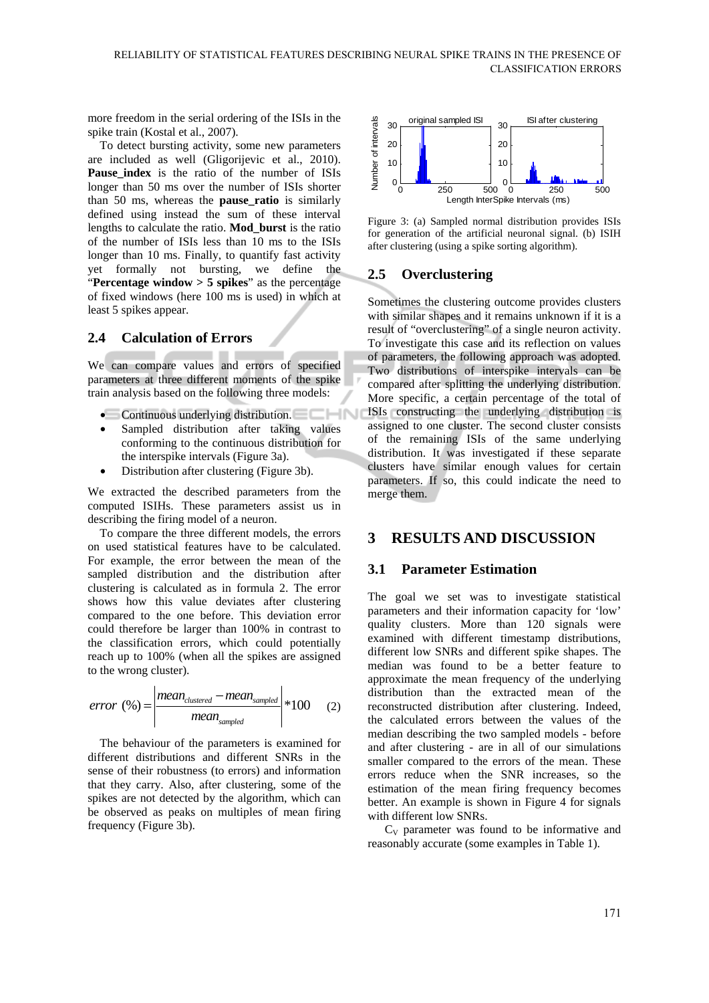more freedom in the serial ordering of the ISIs in the spike train (Kostal et al., 2007).

To detect bursting activity, some new parameters are included as well (Gligorijevic et al., 2010). Pause index is the ratio of the number of ISIs longer than 50 ms over the number of ISIs shorter than 50 ms, whereas the **pause\_ratio** is similarly defined using instead the sum of these interval lengths to calculate the ratio. **Mod\_burst** is the ratio of the number of ISIs less than 10 ms to the ISIs longer than 10 ms. Finally, to quantify fast activity yet formally not bursting, we define the "**Percentage window > 5 spikes**" as the percentage of fixed windows (here 100 ms is used) in which at least 5 spikes appear.

### **2.4 Calculation of Errors**

We can compare values and errors of specified parameters at three different moments of the spike train analysis based on the following three models:

- Continuous underlying distribution.
- Sampled distribution after taking values conforming to the continuous distribution for the interspike intervals (Figure 3a).
- Distribution after clustering (Figure 3b).

We extracted the described parameters from the computed ISIHs. These parameters assist us in describing the firing model of a neuron.

To compare the three different models, the errors on used statistical features have to be calculated. For example, the error between the mean of the sampled distribution and the distribution after clustering is calculated as in formula 2. The error shows how this value deviates after clustering compared to the one before. This deviation error could therefore be larger than 100% in contrast to the classification errors, which could potentially reach up to 100% (when all the spikes are assigned to the wrong cluster).

$$
error (%) = \left| \frac{mean_{clustered} - mean_{sampled}}{mean_{sampled}} \right| * 100
$$
 (2)

The behaviour of the parameters is examined for different distributions and different SNRs in the sense of their robustness (to errors) and information that they carry. Also, after clustering, some of the spikes are not detected by the algorithm, which can be observed as peaks on multiples of mean firing frequency (Figure 3b).



Figure 3: (a) Sampled normal distribution provides ISIs for generation of the artificial neuronal signal. (b) ISIH after clustering (using a spike sorting algorithm).

## **2.5 Overclustering**

Sometimes the clustering outcome provides clusters with similar shapes and it remains unknown if it is a result of "overclustering" of a single neuron activity. To investigate this case and its reflection on values of parameters, the following approach was adopted. Two distributions of interspike intervals can be compared after splitting the underlying distribution. More specific, a certain percentage of the total of ISIs constructing the underlying distribution is assigned to one cluster. The second cluster consists of the remaining ISIs of the same underlying distribution. It was investigated if these separate clusters have similar enough values for certain parameters. If so, this could indicate the need to merge them.

## **3 RESULTS AND DISCUSSION**

#### **3.1 Parameter Estimation**

The goal we set was to investigate statistical parameters and their information capacity for 'low' quality clusters. More than 120 signals were examined with different timestamp distributions, different low SNRs and different spike shapes. The median was found to be a better feature to approximate the mean frequency of the underlying distribution than the extracted mean of the reconstructed distribution after clustering. Indeed, the calculated errors between the values of the median describing the two sampled models - before and after clustering - are in all of our simulations smaller compared to the errors of the mean. These errors reduce when the SNR increases, so the estimation of the mean firing frequency becomes better. An example is shown in Figure 4 for signals with different low SNRs.

 $C_V$  parameter was found to be informative and reasonably accurate (some examples in Table 1).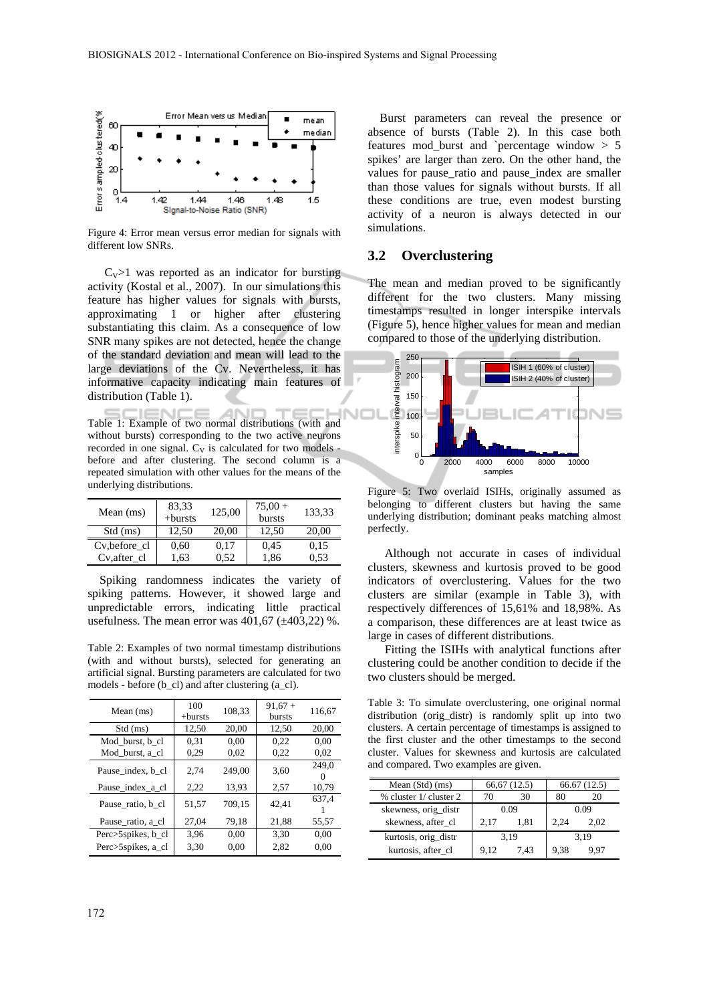

Figure 4: Error mean versus error median for signals with different low SNRs.

 $C_V$ >1 was reported as an indicator for bursting activity (Kostal et al., 2007). In our simulations this feature has higher values for signals with bursts, approximating 1 or higher after clustering substantiating this claim. As a consequence of low SNR many spikes are not detected, hence the change of the standard deviation and mean will lead to the large deviations of the Cv. Nevertheless, it has informative capacity indicating main features of distribution (Table 1).

Table 1: Example of two normal distributions (with and without bursts) corresponding to the two active neurons recorded in one signal.  $C_V$  is calculated for two models before and after clustering. The second column is a repeated simulation with other values for the means of the underlying distributions.

| Mean $(ms)$   | 83,33<br>$+$ bursts | 125,00 | $75,00+$<br>bursts | 133,33 |
|---------------|---------------------|--------|--------------------|--------|
| Std (ms)      | 12.50               | 20.00  | 12.50              | 20.00  |
| Cv, before_cl | 0.60                | 0.17   | 0.45               | 0.15   |
| Cv, after cl  | 1.63                | 0.52   | 1.86               | 0.53   |

Spiking randomness indicates the variety of spiking patterns. However, it showed large and unpredictable errors, indicating little practical usefulness. The mean error was  $401,67$  ( $\pm 403,22$ ) %.

Table 2: Examples of two normal timestamp distributions (with and without bursts), selected for generating an artificial signal. Bursting parameters are calculated for two models - before (b\_cl) and after clustering (a\_cl).

| Mean $(ms)$        | 100<br>$+$ bursts | 108,33 | $91.67 +$<br>bursts | 116,67 |
|--------------------|-------------------|--------|---------------------|--------|
| Std (ms)           | 12,50             | 20,00  | 12,50               | 20,00  |
| Mod burst, b cl    | 0.31              | 0.00   | 0.22                | 0.00   |
| Mod burst, a cl    | 0.29              | 0.02   | 0,22                | 0.02   |
| Pause_index, b_cl  | 2.74              | 249.00 | 3,60                | 249.0  |
| Pause index a cl   | 2,22              | 13,93  | 2,57                | 10,79  |
| Pause_ratio, b_cl  | 51,57             | 709,15 | 42.41               | 637,4  |
| Pause ratio, a cl  | 27,04             | 79,18  | 21,88               | 55,57  |
| Perc>5spikes, b_cl | 3,96              | 0.00   | 3,30                | 0.00   |
| Perc>5spikes, a_cl | 3.30              | 0.00   | 2,82                | 0.00   |

Burst parameters can reveal the presence or absence of bursts (Table 2). In this case both features mod\_burst and `percentage window > 5 spikes' are larger than zero. On the other hand, the values for pause ratio and pause index are smaller than those values for signals without bursts. If all these conditions are true, even modest bursting activity of a neuron is always detected in our simulations.

### **3.2 Overclustering**

The mean and median proved to be significantly different for the two clusters. Many missing timestamps resulted in longer interspike intervals (Figure 5), hence higher values for mean and median compared to those of the underlying distribution.



Figure 5: Two overlaid ISIHs, originally assumed as belonging to different clusters but having the same underlying distribution; dominant peaks matching almost perfectly.

Although not accurate in cases of individual clusters, skewness and kurtosis proved to be good indicators of overclustering. Values for the two clusters are similar (example in Table 3), with respectively differences of 15,61% and 18,98%. As a comparison, these differences are at least twice as large in cases of different distributions.

Fitting the ISIHs with analytical functions after clustering could be another condition to decide if the two clusters should be merged.

Table 3: To simulate overclustering, one original normal distribution (orig distr) is randomly split up into two clusters. A certain percentage of timestamps is assigned to the first cluster and the other timestamps to the second cluster. Values for skewness and kurtosis are calculated and compared. Two examples are given.

| Mean $(Std)$ $(ms)$    | 66,67 (12.5) |      | 66.67 (12.5) |      |
|------------------------|--------------|------|--------------|------|
| % cluster 1/ cluster 2 | 70           | 36   | 80           | 20   |
| skewness, orig_distr   | 0.09         |      | 0.09         |      |
| skewness, after_cl     | 2.17         | 1.81 | 2.24         | 2.02 |
| kurtosis, orig_distr   | 3.19         |      | 3.19         |      |
| kurtosis, after_cl     | 9.12         | 7.43 | 9.38         | 9 97 |